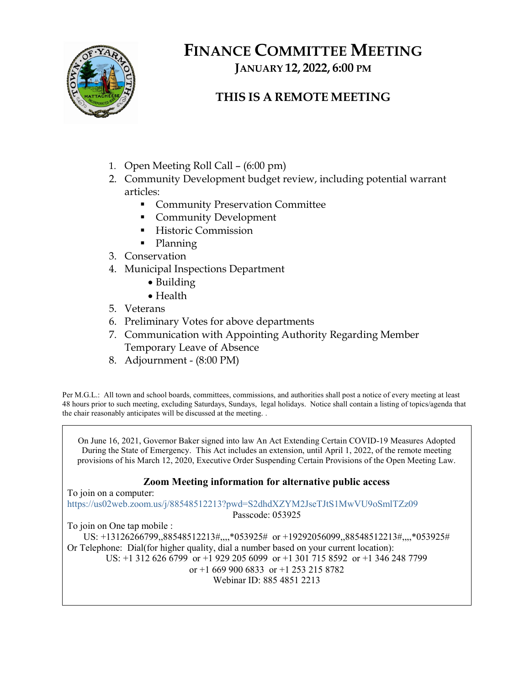

# FINANCE COMMITTEE MEETING JANUARY 12, 2022, 6:00 PM

## THIS IS A REMOTE MEETING

- 1. Open Meeting Roll Call (6:00 pm)
- 2. Community Development budget review, including potential warrant articles:
	- **Community Preservation Committee**
	- **Community Development**
	- **Historic Commission**
	- Planning
- 3. Conservation
- 4. Municipal Inspections Department
	- Building
	- Health
- 5. Veterans
- 6. Preliminary Votes for above departments
- 7. Communication with Appointing Authority Regarding Member Temporary Leave of Absence
- 8. Adjournment (8:00 PM)

Per M.G.L.: All town and school boards, committees, commissions, and authorities shall post a notice of every meeting at least 48 hours prior to such meeting, excluding Saturdays, Sundays, legal holidays. Notice shall contain a listing of topics/agenda that the chair reasonably anticipates will be discussed at the meeting. .

On June 16, 2021, Governor Baker signed into law An Act Extending Certain COVID-19 Measures Adopted During the State of Emergency. This Act includes an extension, until April 1, 2022, of the remote meeting provisions of his March 12, 2020, Executive Order Suspending Certain Provisions of the Open Meeting Law.

#### Zoom Meeting information for alternative public access

To join on a computer:

https://us02web.zoom.us/j/88548512213?pwd=S2dhdXZYM2JseTJtS1MwVU9oSmlTZz09

Passcode: 053925

To join on One tap mobile : US: +13126266799,,88548512213#,,,,\*053925# or +19292056099,,88548512213#,,,,\*053925#

Or Telephone: Dial(for higher quality, dial a number based on your current location):

US: +1 312 626 6799 or +1 929 205 6099 or +1 301 715 8592 or +1 346 248 7799

or +1 669 900 6833 or +1 253 215 8782

Webinar ID: 885 4851 2213